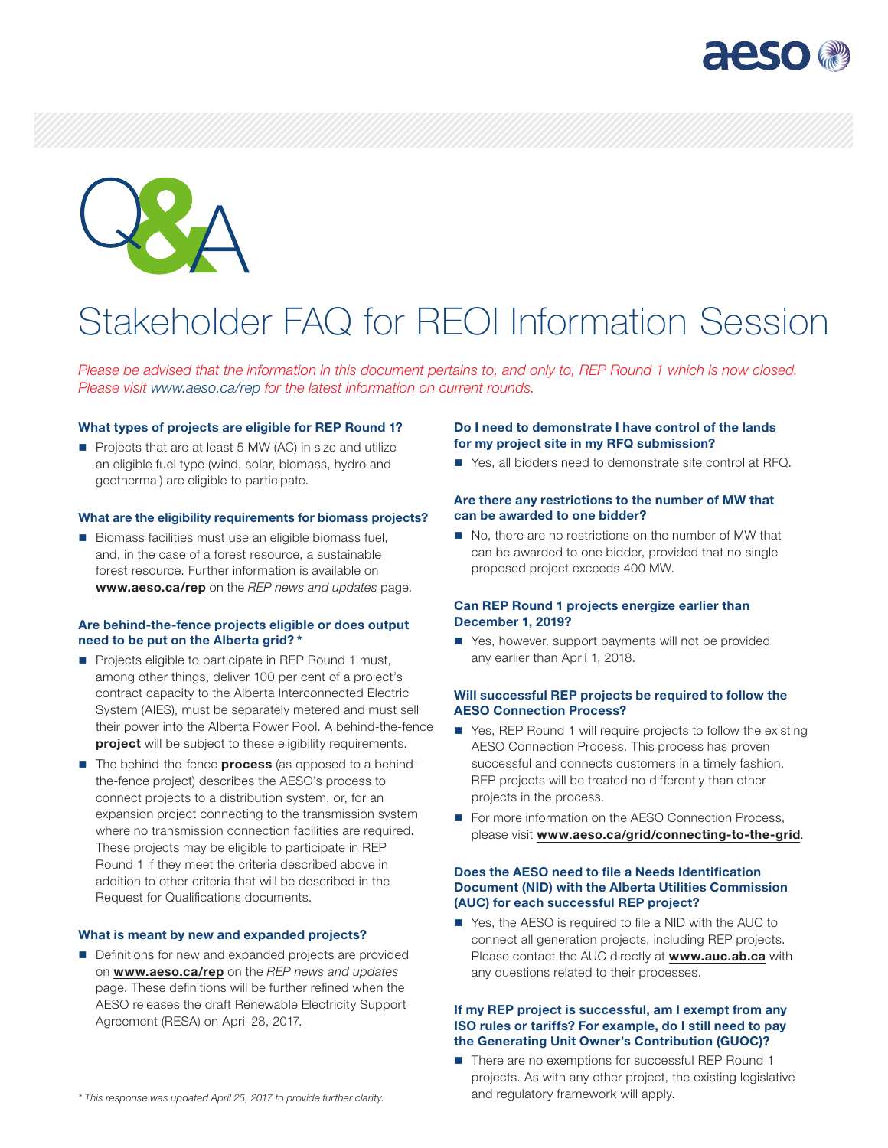



# Stakeholder FAQ for REOI Information Session

*Please be advised that the information in this document pertains to, and only to, REP Round 1 which is now closed. Please visit [www.aeso.ca/rep](http://www.aeso.ca/rep) for the latest information on current rounds.*

#### What types of projects are eligible for REP Round 1?

Projects that are at least 5 MW (AC) in size and utilize an eligible fuel type (wind, solar, biomass, hydro and geothermal) are eligible to participate.

#### What are the eligibility requirements for biomass projects?

 $\blacksquare$  Biomass facilities must use an eligible biomass fuel, and, in the case of a forest resource, a sustainable forest resource. Further information is available on [www.aeso.ca/rep](http://www.aeso.ca/rep) on the *REP news and updates* page.

## Are behind-the-fence projects eligible or does output need to be put on the Alberta grid? \*

- Projects eligible to participate in REP Round 1 must, among other things, deliver 100 per cent of a project's contract capacity to the Alberta Interconnected Electric System (AIES), must be separately metered and must sell their power into the Alberta Power Pool. A behind-the-fence project will be subject to these eligibility requirements.
- The behind-the-fence **process** (as opposed to a behindthe-fence project) describes the AESO's process to connect projects to a distribution system, or, for an expansion project connecting to the transmission system where no transmission connection facilities are required. These projects may be eligible to participate in REP Round 1 if they meet the criteria described above in addition to other criteria that will be described in the Request for Qualifications documents.

## What is meant by new and expanded projects?

Definitions for new and expanded projects are provided on [www.aeso.ca/rep](http://www.aeso.ca/rep) on the *REP news and updates* page. These definitions will be further refined when the AESO releases the draft Renewable Electricity Support Agreement (RESA) on April 28, 2017.

## Do I need to demonstrate I have control of the lands for my project site in my RFQ submission?

■ Yes, all bidders need to demonstrate site control at RFQ.

# Are there any restrictions to the number of MW that can be awarded to one bidder?

No, there are no restrictions on the number of MW that can be awarded to one bidder, provided that no single proposed project exceeds 400 MW.

## Can REP Round 1 projects energize earlier than December 1, 2019?

■ Yes, however, support payments will not be provided any earlier than April 1, 2018.

#### Will successful REP projects be required to follow the AESO Connection Process?

- Yes, REP Round 1 will require projects to follow the existing AESO Connection Process. This process has proven successful and connects customers in a timely fashion. REP projects will be treated no differently than other projects in the process.
- For more information on the AESO Connection Process, please visit [www.aeso.ca/grid/connecting-to-the-grid](http://www.aeso.ca/grid/connecting-to-the-grid).

# Does the AESO need to file a Needs Identification Document (NID) with the Alberta Utilities Commission (AUC) for each successful REP project?

■ Yes, the AESO is required to file a NID with the AUC to connect all generation projects, including REP projects. Please contact the AUC directly at [www.auc.ab.ca](http://www.auc.ab.ca) with any questions related to their processes.

#### If my REP project is successful, am I exempt from any ISO rules or tariffs? For example, do I still need to pay the Generating Unit Owner's Contribution (GUOC)?

■ There are no exemptions for successful REP Round 1 projects. As with any other project, the existing legislative and regulatory framework will apply.